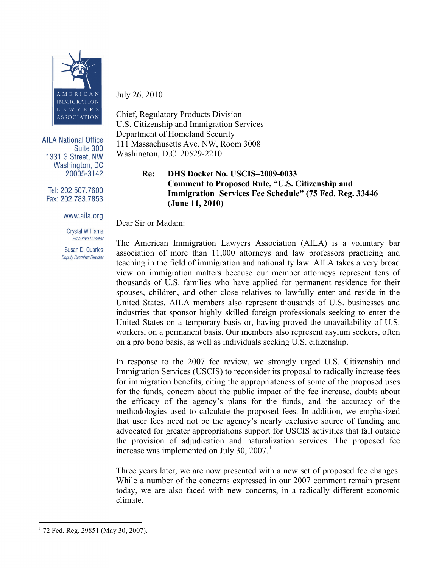

**AILA National Office** Suite 300 1331 G Street, NW **Washington, DC** 20005-3142

Tel: 202.507.7600 Fax: 202.783.7853

#### www.aila.org

**Crystal Williams Executive Director** 

Susan D. Quarles Deputy Executive Director July 26, 2010

Chief, Regulatory Products Division U.S. Citizenship and Immigration Services Department of Homeland Security 111 Massachusetts Ave. NW, Room 3008 Washington, D.C. 20529-2210

# **Re: DHS Docket No. USCIS–2009-0033 Comment to Proposed Rule, "U.S. Citizenship and Immigration Services Fee Schedule" (75 Fed. Reg. 33446 (June 11, 2010)**

Dear Sir or Madam:

The American Immigration Lawyers Association (AILA) is a voluntary bar association of more than 11,000 attorneys and law professors practicing and teaching in the field of immigration and nationality law. AILA takes a very broad view on immigration matters because our member attorneys represent tens of thousands of U.S. families who have applied for permanent residence for their spouses, children, and other close relatives to lawfully enter and reside in the United States. AILA members also represent thousands of U.S. businesses and industries that sponsor highly skilled foreign professionals seeking to enter the United States on a temporary basis or, having proved the unavailability of U.S. workers, on a permanent basis. Our members also represent asylum seekers, often on a pro bono basis, as well as individuals seeking U.S. citizenship.

In response to the 2007 fee review, we strongly urged U.S. Citizenship and Immigration Services (USCIS) to reconsider its proposal to radically increase fees for immigration benefits, citing the appropriateness of some of the proposed uses for the funds, concern about the public impact of the fee increase, doubts about the efficacy of the agency's plans for the funds, and the accuracy of the methodologies used to calculate the proposed fees. In addition, we emphasized that user fees need not be the agency's nearly exclusive source of funding and advocated for greater appropriations support for USCIS activities that fall outside the provision of adjudication and naturalization services. The proposed fee increase was implemented on July 30,  $2007<sup>1</sup>$  $2007<sup>1</sup>$  $2007<sup>1</sup>$ 

Three years later, we are now presented with a new set of proposed fee changes. While a number of the concerns expressed in our 2007 comment remain present today, we are also faced with new concerns, in a radically different economic climate.

<span id="page-0-0"></span><sup>&</sup>lt;sup>1</sup> 72 Fed. Reg. 29851 (May 30, 2007).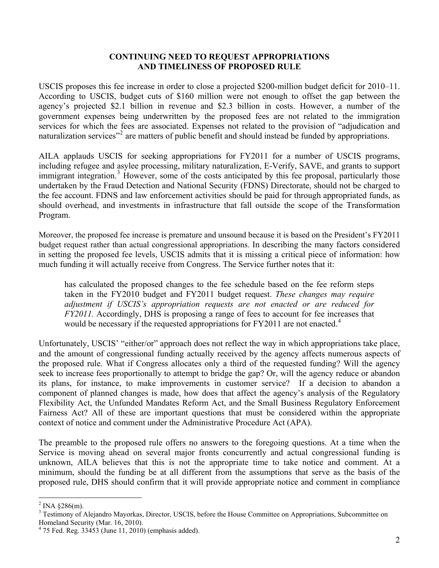### **CONTINUING NEED TO REQUEST APPROPRIATIONS AND TIMELINESS OF PROPOSED RULE**

USCIS proposes this fee increase in order to close a projected \$200-million budget deficit for 2010–11. According to USCIS, budget cuts of \$160 million were not enough to offset the gap between the agency's projected \$2.1 billion in revenue and \$2.3 billion in costs. However, a number of the government expenses being underwritten by the proposed fees are not related to the immigration services for which the fees are associated. Expenses not related to the provision of "adjudication and naturalization services<sup>"[2](#page-1-0)</sup> are matters of public benefit and should instead be funded by appropriations.

AILA applauds USCIS for seeking appropriations for FY2011 for a number of USCIS programs, including refugee and asylee processing, military naturalization, E-Verify, SAVE, and grants to support immigrant integration.<sup>[3](#page-1-1)</sup> However, some of the costs anticipated by this fee proposal, particularly those undertaken by the Fraud Detection and National Security (FDNS) Directorate, should not be charged to the fee account. FDNS and law enforcement activities should be paid for through appropriated funds, as should overhead, and investments in infrastructure that fall outside the scope of the Transformation Program.

Moreover, the proposed fee increase is premature and unsound because it is based on the President's FY2011 budget request rather than actual congressional appropriations. In describing the many factors considered in setting the proposed fee levels, USCIS admits that it is missing a critical piece of information: how much funding it will actually receive from Congress. The Service further notes that it:

has calculated the proposed changes to the fee schedule based on the fee reform steps taken in the FY2010 budget and FY2011 budget request. *These changes may require adjustment if USCIS's appropriation requests are not enacted or are reduced for FY2011*. Accordingly, DHS is proposing a range of fees to account for fee increases that would be necessary if the requested appropriations for  $FY2011$  are not enacted.<sup>[4](#page-1-2)</sup>

Unfortunately, USCIS' "either/or" approach does not reflect the way in which appropriations take place, and the amount of congressional funding actually received by the agency affects numerous aspects of the proposed rule. What if Congress allocates only a third of the requested funding? Will the agency seek to increase fees proportionally to attempt to bridge the gap? Or, will the agency reduce or abandon its plans, for instance, to make improvements in customer service? If a decision to abandon a component of planned changes is made, how does that affect the agency's analysis of the Regulatory Flexibility Act, the Unfunded Mandates Reform Act, and the Small Business Regulatory Enforcement Fairness Act? All of these are important questions that must be considered within the appropriate context of notice and comment under the Administrative Procedure Act (APA).

The preamble to the proposed rule offers no answers to the foregoing questions. At a time when the Service is moving ahead on several major fronts concurrently and actual congressional funding is unknown, AILA believes that this is not the appropriate time to take notice and comment. At a minimum, should the funding be at all different from the assumptions that serve as the basis of the proposed rule, DHS should confirm that it will provide appropriate notice and comment in compliance

<span id="page-1-0"></span> $2$  INA §286(m).

<span id="page-1-1"></span><sup>&</sup>lt;sup>3</sup> Testimony of Alejandro Mayorkas, Director, USCIS, before the House Committee on Appropriations, Subcommittee on Homeland Security (Mar. 16, 2010).

<span id="page-1-2"></span><sup>4</sup> 75 Fed. Reg. 33453 (June 11, 2010) (emphasis added).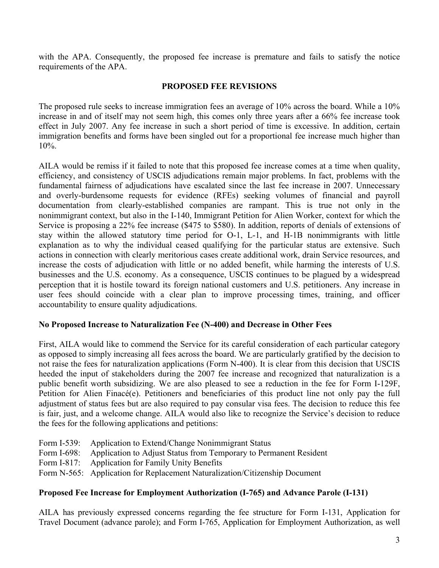with the APA. Consequently, the proposed fee increase is premature and fails to satisfy the notice requirements of the APA.

## **PROPOSED FEE REVISIONS**

The proposed rule seeks to increase immigration fees an average of 10% across the board. While a 10% increase in and of itself may not seem high, this comes only three years after a 66% fee increase took effect in July 2007. Any fee increase in such a short period of time is excessive. In addition, certain immigration benefits and forms have been singled out for a proportional fee increase much higher than 10%.

AILA would be remiss if it failed to note that this proposed fee increase comes at a time when quality, efficiency, and consistency of USCIS adjudications remain major problems. In fact, problems with the fundamental fairness of adjudications have escalated since the last fee increase in 2007. Unnecessary and overly-burdensome requests for evidence (RFEs) seeking volumes of financial and payroll documentation from clearly-established companies are rampant. This is true not only in the nonimmigrant context, but also in the I-140, Immigrant Petition for Alien Worker, context for which the Service is proposing a 22% fee increase (\$475 to \$580). In addition, reports of denials of extensions of stay within the allowed statutory time period for O-1, L-1, and H-1B nonimmigrants with little explanation as to why the individual ceased qualifying for the particular status are extensive. Such actions in connection with clearly meritorious cases create additional work, drain Service resources, and increase the costs of adjudication with little or no added benefit, while harming the interests of U.S. businesses and the U.S. economy. As a consequence, USCIS continues to be plagued by a widespread perception that it is hostile toward its foreign national customers and U.S. petitioners. Any increase in user fees should coincide with a clear plan to improve processing times, training, and officer accountability to ensure quality adjudications.

# **No Proposed Increase to Naturalization Fee (N-400) and Decrease in Other Fees**

First, AILA would like to commend the Service for its careful consideration of each particular category as opposed to simply increasing all fees across the board. We are particularly gratified by the decision to not raise the fees for naturalization applications (Form N-400). It is clear from this decision that USCIS heeded the input of stakeholders during the 2007 fee increase and recognized that naturalization is a public benefit worth subsidizing. We are also pleased to see a reduction in the fee for Form I-129F, Petition for Alien Finacé(e). Petitioners and beneficiaries of this product line not only pay the full adjustment of status fees but are also required to pay consular visa fees. The decision to reduce this fee is fair, just, and a welcome change. AILA would also like to recognize the Service's decision to reduce the fees for the following applications and petitions:

Form I-539: Application to Extend/Change Nonimmigrant Status Form I-698: Application to Adjust Status from Temporary to Permanent Resident Form I-817: Application for Family Unity Benefits Form N-565: Application for Replacement Naturalization/Citizenship Document

# **Proposed Fee Increase for Employment Authorization (I-765) and Advance Parole (I-131)**

AILA has previously expressed concerns regarding the fee structure for Form I-131, Application for Travel Document (advance parole); and Form I-765, Application for Employment Authorization, as well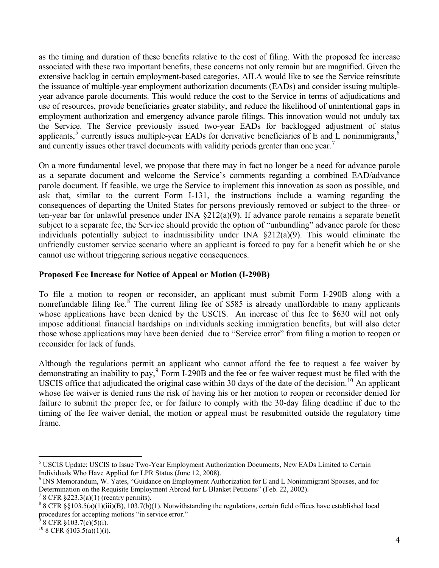as the timing and duration of these benefits relative to the cost of filing. With the proposed fee increase associated with these two important benefits, these concerns not only remain but are magnified. Given the extensive backlog in certain employment-based categories, AILA would like to see the Service reinstitute the issuance of multiple-year employment authorization documents (EADs) and consider issuing multipleyear advance parole documents. This would reduce the cost to the Service in terms of adjudications and use of resources, provide beneficiaries greater stability, and reduce the likelihood of unintentional gaps in employment authorization and emergency advance parole filings. This innovation would not unduly tax the Service. The Service previously issued two-year EADs for backlogged adjustment of status applicants,<sup>[5](#page-3-0)</sup> currently issues multiple-year EADs for derivative beneficiaries of E and L nonimmigrants,<sup>[6](#page-3-1)</sup> and currently issues other travel documents with validity periods greater than one year.<sup>[7](#page-3-2)</sup>

On a more fundamental level, we propose that there may in fact no longer be a need for advance parole as a separate document and welcome the Service's comments regarding a combined EAD/advance parole document. If feasible, we urge the Service to implement this innovation as soon as possible, and ask that, similar to the current Form I-131, the instructions include a warning regarding the consequences of departing the United States for persons previously removed or subject to the three- or ten-year bar for unlawful presence under INA §212(a)(9). If advance parole remains a separate benefit subject to a separate fee, the Service should provide the option of "unbundling" advance parole for those individuals potentially subject to inadmissibility under INA §212(a)(9). This would eliminate the unfriendly customer service scenario where an applicant is forced to pay for a benefit which he or she cannot use without triggering serious negative consequences.

# **Proposed Fee Increase for Notice of Appeal or Motion (I-290B)**

To file a motion to reopen or reconsider, an applicant must submit Form I-290B along with a nonrefundable filing fee.<sup>[8](#page-3-3)</sup> The current filing fee of \$585 is already unaffordable to many applicants whose applications have been denied by the USCIS. An increase of this fee to \$630 will not only impose additional financial hardships on individuals seeking immigration benefits, but will also deter those whose applications may have been denied due to "Service error" from filing a motion to reopen or reconsider for lack of funds.

Although the regulations permit an applicant who cannot afford the fee to request a fee waiver by demonstrating an inability to pay,<sup>[9](#page-3-4)</sup> Form I-290B and the fee or fee waiver request must be filed with the USCIS office that adjudicated the original case within 30 days of the date of the decision.<sup>[10](#page-3-5)</sup> An applicant whose fee waiver is denied runs the risk of having his or her motion to reopen or reconsider denied for failure to submit the proper fee, or for failure to comply with the 30-day filing deadline if due to the timing of the fee waiver denial, the motion or appeal must be resubmitted outside the regulatory time frame.

<span id="page-3-0"></span><sup>&</sup>lt;sup>5</sup> USCIS Update: USCIS to Issue Two-Year Employment Authorization Documents, New EADs Limited to Certain Individuals Who Have Applied for LPR Status (June 12, 2008).

<span id="page-3-1"></span><sup>&</sup>lt;sup>6</sup> INS Memorandum, W. Yates, "Guidance on Employment Authorization for E and L Nonimmigrant Spouses, and for Determination on the Requisite Employment Abroad for L Blanket Petitions" (Feb. 22, 2002).

<span id="page-3-2"></span> $78$  CFR §223.3(a)(1) (reentry permits).

<span id="page-3-3"></span><sup>&</sup>lt;sup>8</sup> 8 CFR §§103.5(a)(1)(iii)(B), 103.7(b)(1). Notwithstanding the regulations, certain field offices have established local procedures for accepting motions "in service error."

<span id="page-3-4"></span><sup>9</sup> 8 CFR §103.7(c)(5)(i).

<span id="page-3-5"></span> $10$  8 CFR §103.5(a)(1)(i).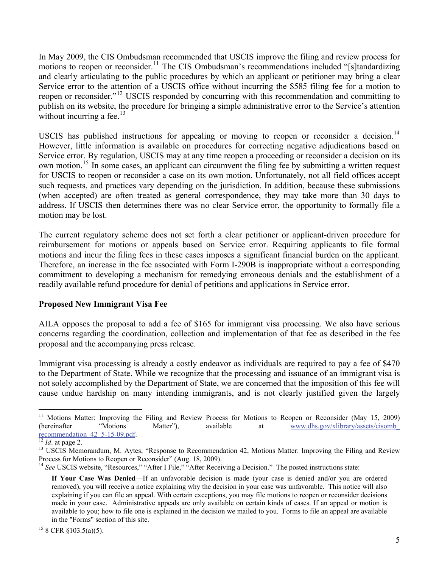In May 2009, the CIS Ombudsman recommended that USCIS improve the filing and review process for motions to reopen or reconsider.<sup>[11](#page-4-0)</sup> The CIS Ombudsman's recommendations included "[s]tandardizing and clearly articulating to the public procedures by which an applicant or petitioner may bring a clear Service error to the attention of a USCIS office without incurring the \$585 filing fee for a motion to reopen or reconsider."[12](#page-4-1) USCIS responded by concurring with this recommendation and committing to publish on its website, the procedure for bringing a simple administrative error to the Service's attention without incurring a fee. $13$ 

USCIS has published instructions for appealing or moving to reopen or reconsider a decision.<sup>[14](#page-4-3)</sup> However, little information is available on procedures for correcting negative adjudications based on Service error. By regulation, USCIS may at any time reopen a proceeding or reconsider a decision on its own motion.[15](#page-4-4) In some cases, an applicant can circumvent the filing fee by submitting a written request for USCIS to reopen or reconsider a case on its own motion. Unfortunately, not all field offices accept such requests, and practices vary depending on the jurisdiction. In addition, because these submissions (when accepted) are often treated as general correspondence, they may take more than 30 days to address. If USCIS then determines there was no clear Service error, the opportunity to formally file a motion may be lost.

The current regulatory scheme does not set forth a clear petitioner or applicant-driven procedure for reimbursement for motions or appeals based on Service error. Requiring applicants to file formal motions and incur the filing fees in these cases imposes a significant financial burden on the applicant. Therefore, an increase in the fee associated with Form I-290B is inappropriate without a corresponding commitment to developing a mechanism for remedying erroneous denials and the establishment of a readily available refund procedure for denial of petitions and applications in Service error.

# **Proposed New Immigrant Visa Fee**

AILA opposes the proposal to add a fee of \$165 for immigrant visa processing. We also have serious concerns regarding the coordination, collection and implementation of that fee as described in the fee proposal and the accompanying press release.

Immigrant visa processing is already a costly endeavor as individuals are required to pay a fee of \$470 to the Department of State. While we recognize that the processing and issuance of an immigrant visa is not solely accomplished by the Department of State, we are concerned that the imposition of this fee will cause undue hardship on many intending immigrants, and is not clearly justified given the largely

<span id="page-4-0"></span> $11\,$ 11 Motions Matter: Improving the Filing and Review Process for Motions to Reopen or Reconsider (May 15, 2009) (hereinafter "Motions Matter"), available at www.dhs.gov/xlibrary/assets/cisomb<br>recommendation  $42\frac{5-15-09\text{.pdf}}{12\text{ Id. at page 2.}}$ 

<span id="page-4-2"></span><span id="page-4-1"></span><sup>&</sup>lt;sup>13</sup> USCIS Memorandum, M. Aytes, "Response to Recommendation 42, Motions Matter: Improving the Filing and Review Process for Motions to Reopen or Reconsider" (Aug. 18, 2009).

<span id="page-4-3"></span><sup>&</sup>lt;sup>14</sup> See USCIS website, "Resources," "After I File," "After Receiving a Decision." The posted instructions state:

**If Your Case Was Denied**—If an unfavorable decision is made (your case is denied and/or you are ordered removed), you will receive a notice explaining why the decision in your case was unfavorable. This notice will also explaining if you can file an appeal. With certain exceptions, you may file motions to reopen or reconsider decisions made in your case. Administrative appeals are only available on certain kinds of cases. If an appeal or motion is available to you; how to file one is explained in the decision we mailed to you. Forms to file an appeal are available in the "Forms" section of this site.

<span id="page-4-4"></span> $15$  8 CFR §103.5(a)(5).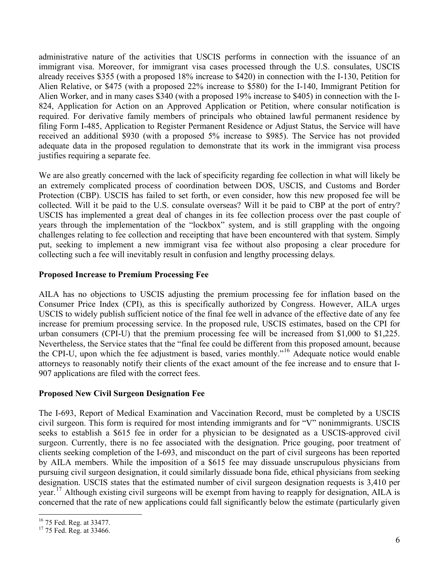administrative nature of the activities that USCIS performs in connection with the issuance of an immigrant visa. Moreover, for immigrant visa cases processed through the U.S. consulates, USCIS already receives \$355 (with a proposed 18% increase to \$420) in connection with the I-130, Petition for Alien Relative, or \$475 (with a proposed 22% increase to \$580) for the I-140, Immigrant Petition for Alien Worker, and in many cases \$340 (with a proposed 19% increase to \$405) in connection with the I-824, Application for Action on an Approved Application or Petition, where consular notification is required. For derivative family members of principals who obtained lawful permanent residence by filing Form I-485, Application to Register Permanent Residence or Adjust Status, the Service will have received an additional \$930 (with a proposed 5% increase to \$985). The Service has not provided adequate data in the proposed regulation to demonstrate that its work in the immigrant visa process justifies requiring a separate fee.

We are also greatly concerned with the lack of specificity regarding fee collection in what will likely be an extremely complicated process of coordination between DOS, USCIS, and Customs and Border Protection (CBP). USCIS has failed to set forth, or even consider, how this new proposed fee will be collected. Will it be paid to the U.S. consulate overseas? Will it be paid to CBP at the port of entry? USCIS has implemented a great deal of changes in its fee collection process over the past couple of years through the implementation of the "lockbox" system, and is still grappling with the ongoing challenges relating to fee collection and receipting that have been encountered with that system. Simply put, seeking to implement a new immigrant visa fee without also proposing a clear procedure for collecting such a fee will inevitably result in confusion and lengthy processing delays.

# **Proposed Increase to Premium Processing Fee**

AILA has no objections to USCIS adjusting the premium processing fee for inflation based on the Consumer Price Index (CPI), as this is specifically authorized by Congress. However, AILA urges USCIS to widely publish sufficient notice of the final fee well in advance of the effective date of any fee increase for premium processing service. In the proposed rule, USCIS estimates, based on the CPI for urban consumers (CPI-U) that the premium processing fee will be increased from \$1,000 to \$1,225. Nevertheless, the Service states that the "final fee could be different from this proposed amount, because the CPI-U, upon which the fee adjustment is based, varies monthly."[16](#page-5-0) Adequate notice would enable attorneys to reasonably notify their clients of the exact amount of the fee increase and to ensure that I-907 applications are filed with the correct fees.

# **Proposed New Civil Surgeon Designation Fee**

The I-693, Report of Medical Examination and Vaccination Record, must be completed by a USCIS civil surgeon. This form is required for most intending immigrants and for "V" nonimmigrants. USCIS seeks to establish a \$615 fee in order for a physician to be designated as a USCIS-approved civil surgeon. Currently, there is no fee associated with the designation. Price gouging, poor treatment of clients seeking completion of the I-693, and misconduct on the part of civil surgeons has been reported by AILA members. While the imposition of a \$615 fee may dissuade unscrupulous physicians from pursuing civil surgeon designation, it could similarly dissuade bona fide, ethical physicians from seeking designation. USCIS states that the estimated number of civil surgeon designation requests is 3,410 per year.<sup>[17](#page-5-1)</sup> Although existing civil surgeons will be exempt from having to reapply for designation, AILA is concerned that the rate of new applications could fall significantly below the estimate (particularly given

<span id="page-5-0"></span><sup>&</sup>lt;sup>16</sup> 75 Fed. Reg. at 33477.

<span id="page-5-1"></span><sup>&</sup>lt;sup>17</sup> 75 Fed. Reg. at 33466.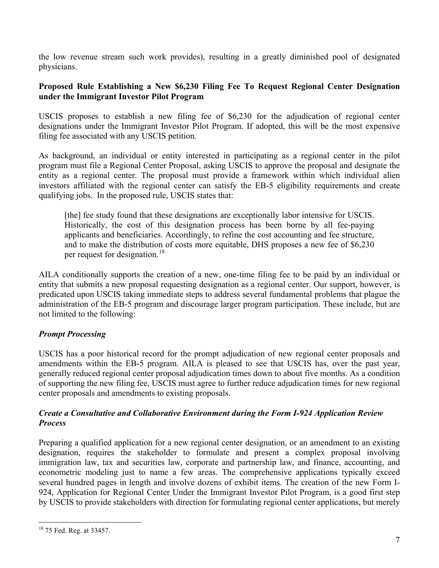the low revenue stream such work provides), resulting in a greatly diminished pool of designated physicians.

## **Proposed Rule Establishing a New \$6,230 Filing Fee To Request Regional Center Designation under the Immigrant Investor Pilot Program**

USCIS proposes to establish a new filing fee of \$6,230 for the adjudication of regional center designations under the Immigrant Investor Pilot Program. If adopted, this will be the most expensive filing fee associated with any USCIS petition.

As background, an individual or entity interested in participating as a regional center in the pilot program must file a Regional Center Proposal, asking USCIS to approve the proposal and designate the entity as a regional center. The proposal must provide a framework within which individual alien investors affiliated with the regional center can satisfy the EB-5 eligibility requirements and create qualifying jobs. In the proposed rule, USCIS states that:

[the] fee study found that these designations are exceptionally labor intensive for USCIS. Historically, the cost of this designation process has been borne by all fee-paying applicants and beneficiaries. Accordingly, to refine the cost accounting and fee structure, and to make the distribution of costs more equitable, DHS proposes a new fee of \$6,230 per request for designation.<sup>[18](#page-6-0)</sup>

AILA conditionally supports the creation of a new, one-time filing fee to be paid by an individual or entity that submits a new proposal requesting designation as a regional center. Our support, however, is predicated upon USCIS taking immediate steps to address several fundamental problems that plague the administration of the EB-5 program and discourage larger program participation. These include, but are not limited to the following:

# *Prompt Processing*

USCIS has a poor historical record for the prompt adjudication of new regional center proposals and amendments within the EB-5 program. AILA is pleased to see that USCIS has, over the past year, generally reduced regional center proposal adjudication times down to about five months. As a condition of supporting the new filing fee, USCIS must agree to further reduce adjudication times for new regional center proposals and amendments to existing proposals.

# *Create a Consultative and Collaborative Environment during the Form I-924 Application Review Process*

Preparing a qualified application for a new regional center designation, or an amendment to an existing designation, requires the stakeholder to formulate and present a complex proposal involving immigration law, tax and securities law, corporate and partnership law, and finance, accounting, and econometric modeling just to name a few areas. The comprehensive applications typically exceed several hundred pages in length and involve dozens of exhibit items. The creation of the new Form I-924, Application for Regional Center Under the Immigrant Investor Pilot Program, is a good first step by USCIS to provide stakeholders with direction for formulating regional center applications, but merely

<span id="page-6-0"></span><sup>18 75</sup> Fed. Reg. at 33457.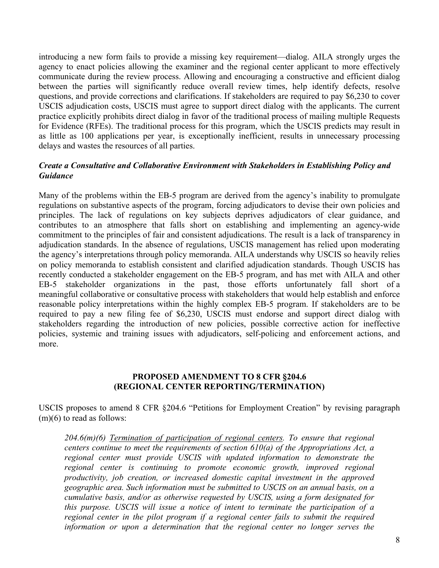introducing a new form fails to provide a missing key requirement—dialog. AILA strongly urges the agency to enact policies allowing the examiner and the regional center applicant to more effectively communicate during the review process. Allowing and encouraging a constructive and efficient dialog between the parties will significantly reduce overall review times, help identify defects, resolve questions, and provide corrections and clarifications. If stakeholders are required to pay \$6,230 to cover USCIS adjudication costs, USCIS must agree to support direct dialog with the applicants. The current practice explicitly prohibits direct dialog in favor of the traditional process of mailing multiple Requests for Evidence (RFEs). The traditional process for this program, which the USCIS predicts may result in as little as 100 applications per year, is exceptionally inefficient, results in unnecessary processing delays and wastes the resources of all parties.

# *Create a Consultative and Collaborative Environment with Stakeholders in Establishing Policy and Guidance*

Many of the problems within the EB-5 program are derived from the agency's inability to promulgate regulations on substantive aspects of the program, forcing adjudicators to devise their own policies and principles. The lack of regulations on key subjects deprives adjudicators of clear guidance, and contributes to an atmosphere that falls short on establishing and implementing an agency-wide commitment to the principles of fair and consistent adjudications. The result is a lack of transparency in adjudication standards. In the absence of regulations, USCIS management has relied upon moderating the agency's interpretations through policy memoranda. AILA understands why USCIS so heavily relies on policy memoranda to establish consistent and clarified adjudication standards. Though USCIS has recently conducted a stakeholder engagement on the EB-5 program, and has met with AILA and other EB-5 stakeholder organizations in the past, those efforts unfortunately fall short of a meaningful collaborative or consultative process with stakeholders that would help establish and enforce reasonable policy interpretations within the highly complex EB-5 program. If stakeholders are to be required to pay a new filing fee of \$6,230, USCIS must endorse and support direct dialog with stakeholders regarding the introduction of new policies, possible corrective action for ineffective policies, systemic and training issues with adjudicators, self-policing and enforcement actions, and more.

### **PROPOSED AMENDMENT TO 8 CFR §204.6 (REGIONAL CENTER REPORTING/TERMINATION)**

USCIS proposes to amend 8 CFR §204.6 "Petitions for Employment Creation" by revising paragraph (m)(6) to read as follows:

*204.6(m)(6) Termination of participation of regional centers. To ensure that regional centers continue to meet the requirements of section 610(a) of the Appropriations Act, a regional center must provide USCIS with updated information to demonstrate the*  regional center is continuing to promote economic growth, improved regional *productivity, job creation, or increased domestic capital investment in the approved geographic area. Such information must be submitted to USCIS on an annual basis, on a cumulative basis, and/or as otherwise requested by USCIS, using a form designated for this purpose. USCIS will issue a notice of intent to terminate the participation of a regional center in the pilot program if a regional center fails to submit the required information or upon a determination that the regional center no longer serves the*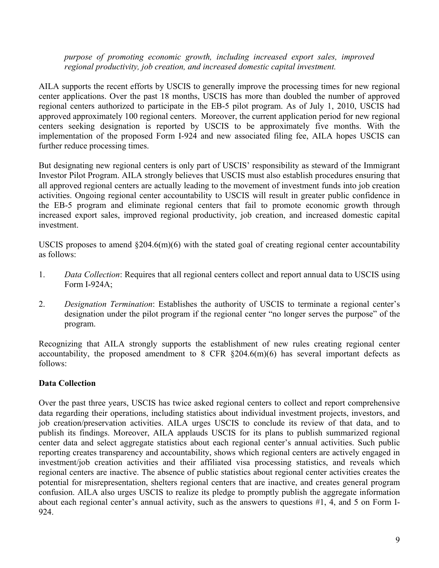#### *purpose of promoting economic growth, including increased export sales, improved regional productivity, job creation, and increased domestic capital investment.*

AILA supports the recent efforts by USCIS to generally improve the processing times for new regional center applications. Over the past 18 months, USCIS has more than doubled the number of approved regional centers authorized to participate in the EB-5 pilot program. As of July 1, 2010, USCIS had approved approximately 100 regional centers. Moreover, the current application period for new regional centers seeking designation is reported by USCIS to be approximately five months. With the implementation of the proposed Form I-924 and new associated filing fee, AILA hopes USCIS can further reduce processing times.

But designating new regional centers is only part of USCIS' responsibility as steward of the Immigrant Investor Pilot Program. AILA strongly believes that USCIS must also establish procedures ensuring that all approved regional centers are actually leading to the movement of investment funds into job creation activities. Ongoing regional center accountability to USCIS will result in greater public confidence in the EB-5 program and eliminate regional centers that fail to promote economic growth through increased export sales, improved regional productivity, job creation, and increased domestic capital investment.

USCIS proposes to amend  $\S204.6(m)(6)$  with the stated goal of creating regional center accountability as follows:

- 1. *Data Collection*: Requires that all regional centers collect and report annual data to USCIS using Form I-924A;
- 2. *Designation Termination*: Establishes the authority of USCIS to terminate a regional center's designation under the pilot program if the regional center "no longer serves the purpose" of the program.

Recognizing that AILA strongly supports the establishment of new rules creating regional center accountability, the proposed amendment to 8 CFR  $\S204.6(m)(6)$  has several important defects as follows:

# **Data Collection**

Over the past three years, USCIS has twice asked regional centers to collect and report comprehensive data regarding their operations, including statistics about individual investment projects, investors, and job creation/preservation activities. AILA urges USCIS to conclude its review of that data, and to publish its findings. Moreover, AILA applauds USCIS for its plans to publish summarized regional center data and select aggregate statistics about each regional center's annual activities. Such public reporting creates transparency and accountability, shows which regional centers are actively engaged in investment/job creation activities and their affiliated visa processing statistics, and reveals which regional centers are inactive. The absence of public statistics about regional center activities creates the potential for misrepresentation, shelters regional centers that are inactive, and creates general program confusion. AILA also urges USCIS to realize its pledge to promptly publish the aggregate information about each regional center's annual activity, such as the answers to questions #1, 4, and 5 on Form I-924.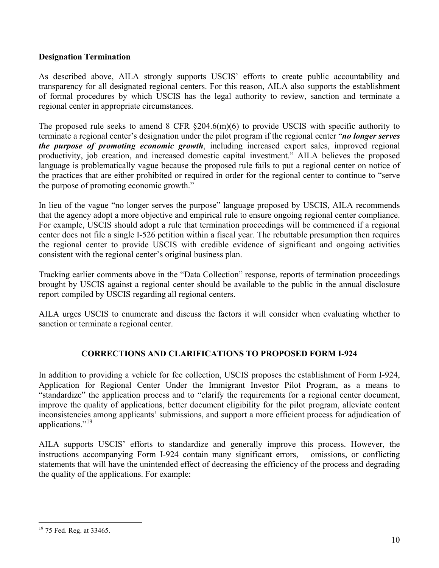# **Designation Termination**

As described above, AILA strongly supports USCIS' efforts to create public accountability and transparency for all designated regional centers. For this reason, AILA also supports the establishment of formal procedures by which USCIS has the legal authority to review, sanction and terminate a regional center in appropriate circumstances.

The proposed rule seeks to amend 8 CFR §204.6(m)(6) to provide USCIS with specific authority to terminate a regional center's designation under the pilot program if the regional center "*no longer serves the purpose of promoting economic growth*, including increased export sales, improved regional productivity, job creation, and increased domestic capital investment." AILA believes the proposed language is problematically vague because the proposed rule fails to put a regional center on notice of the practices that are either prohibited or required in order for the regional center to continue to "serve the purpose of promoting economic growth."

In lieu of the vague "no longer serves the purpose" language proposed by USCIS, AILA recommends that the agency adopt a more objective and empirical rule to ensure ongoing regional center compliance. For example, USCIS should adopt a rule that termination proceedings will be commenced if a regional center does not file a single I-526 petition within a fiscal year. The rebuttable presumption then requires the regional center to provide USCIS with credible evidence of significant and ongoing activities consistent with the regional center's original business plan.

Tracking earlier comments above in the "Data Collection" response, reports of termination proceedings brought by USCIS against a regional center should be available to the public in the annual disclosure report compiled by USCIS regarding all regional centers.

AILA urges USCIS to enumerate and discuss the factors it will consider when evaluating whether to sanction or terminate a regional center.

# **CORRECTIONS AND CLARIFICATIONS TO PROPOSED FORM I-924**

In addition to providing a vehicle for fee collection, USCIS proposes the establishment of Form I-924, Application for Regional Center Under the Immigrant Investor Pilot Program, as a means to "standardize" the application process and to "clarify the requirements for a regional center document, improve the quality of applications, better document eligibility for the pilot program, alleviate content inconsistencies among applicants' submissions, and support a more efficient process for adjudication of applications."[19](#page-9-0)

AILA supports USCIS' efforts to standardize and generally improve this process. However, the instructions accompanying Form I-924 contain many significant errors, omissions, or conflicting statements that will have the unintended effect of decreasing the efficiency of the process and degrading the quality of the applications. For example:

<span id="page-9-0"></span><sup>1</sup> <sup>19</sup> 75 Fed. Reg. at 33465.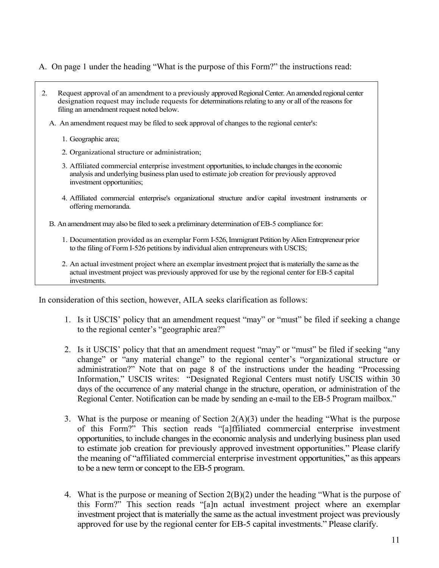### A. On page 1 under the heading "What is the purpose of this Form?" the instructions read:

- 2. Request approval of an amendment to a previously approved Regional Center. An amended regional center designation request may include requests for determinations relating to any or all of the reasons for filing an amendment request noted below.
	- A. An amendment request may be filed to seek approval of changes to the regional center's:
		- 1. Geographic area;
		- 2. Organizational structure or administration;
		- 3. Affiliated commercial enterprise investment opportunities, to include changes in the economic analysis and underlying business plan used to estimate job creation for previously approved investment opportunities;
		- 4. Affiliated commercial enterprise's organizational structure and/or capital investment instruments or offering memoranda.
	- B. An amendment may also be filed to seek a preliminary determination of EB-5 compliance for:
		- 1. Documentation provided as an exemplar Form I-526, Immigrant Petition by Alien Entrepreneur prior to the filing of Form I-526 petitions by individual alien entrepreneurs with USCIS;
		- 2. An actual investment project where an exemplar investment project that is materially the same as the actual investment project was previously approved for use by the regional center for EB-5 capital investments.

In consideration of this section, however, AILA seeks clarification as follows:

- 1. Is it USCIS' policy that an amendment request "may" or "must" be filed if seeking a change to the regional center's "geographic area?"
- 2. Is it USCIS' policy that that an amendment request "may" or "must" be filed if seeking "any change" or "any material change" to the regional center's "organizational structure or administration?" Note that on page 8 of the instructions under the heading "Processing Information," USCIS writes: "Designated Regional Centers must notify USCIS within 30 days of the occurrence of any material change in the structure, operation, or administration of the Regional Center. Notification can be made by sending an e-mail to the EB-5 Program mailbox."
- 3. What is the purpose or meaning of Section 2(A)(3) under the heading "What is the purpose of this Form?" This section reads "[a]ffiliated commercial enterprise investment opportunities, to include changes in the economic analysis and underlying business plan used to estimate job creation for previously approved investment opportunities." Please clarify the meaning of "affiliated commercial enterprise investment opportunities," as this appears to be a new term or concept to the EB-5 program.
- 4. What is the purpose or meaning of Section 2(B)(2) under the heading "What is the purpose of this Form?" This section reads "[a]n actual investment project where an exemplar investment project that is materially the same as the actual investment project was previously approved for use by the regional center for EB-5 capital investments." Please clarify.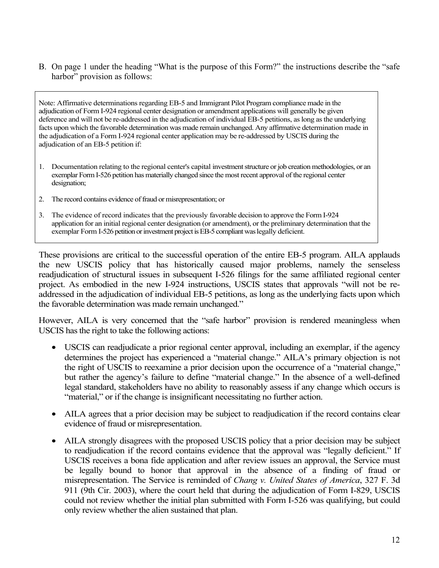B. On page 1 under the heading "What is the purpose of this Form?" the instructions describe the "safe harbor" provision as follows:

Note: Affirmative determinations regarding EB-5 and Immigrant Pilot Program compliance made in the adjudication of Form I-924 regional center designation or amendment applications will generally be given deference and will not be re-addressed in the adjudication of individual EB-5 petitions, as long as the underlying facts upon which the favorable determination was made remain unchanged. Any affirmative determination made in the adjudication of a Form I-924 regional center application may be re-addressed by USCIS during the adjudication of an EB-5 petition if:

- 1. Documentation relating to the regional center's capital investment structure or job creation methodologies, or an exemplar Form I-526 petition has materially changed since the most recent approval of the regional center designation;
- 2. The record contains evidence of fraud or misrepresentation; or
- 3. The evidence of record indicates that the previously favorable decision to approve the Form I-924 application for an initial regional center designation (or amendment), or the preliminary determination that the exemplar Form I-526 petition or investment project is EB-5 compliant was legally deficient.

These provisions are critical to the successful operation of the entire EB-5 program. AILA applauds the new USCIS policy that has historically caused major problems, namely the senseless readjudication of structural issues in subsequent I-526 filings for the same affiliated regional center project. As embodied in the new I-924 instructions, USCIS states that approvals "will not be readdressed in the adjudication of individual EB-5 petitions, as long as the underlying facts upon which the favorable determination was made remain unchanged."

However, AILA is very concerned that the "safe harbor" provision is rendered meaningless when USCIS has the right to take the following actions:

- USCIS can readjudicate a prior regional center approval, including an exemplar, if the agency determines the project has experienced a "material change." AILA's primary objection is not the right of USCIS to reexamine a prior decision upon the occurrence of a "material change," but rather the agency's failure to define "material change." In the absence of a well-defined legal standard, stakeholders have no ability to reasonably assess if any change which occurs is "material," or if the change is insignificant necessitating no further action.
- AILA agrees that a prior decision may be subject to readjudication if the record contains clear evidence of fraud or misrepresentation.
- AILA strongly disagrees with the proposed USCIS policy that a prior decision may be subject to readjudication if the record contains evidence that the approval was "legally deficient." If USCIS receives a bona fide application and after review issues an approval, the Service must be legally bound to honor that approval in the absence of a finding of fraud or misrepresentation. The Service is reminded of *Chang v. United States of America*, 327 F. 3d 911 (9th Cir. 2003), where the court held that during the adjudication of Form I-829, USCIS could not review whether the initial plan submitted with Form I-526 was qualifying, but could only review whether the alien sustained that plan.